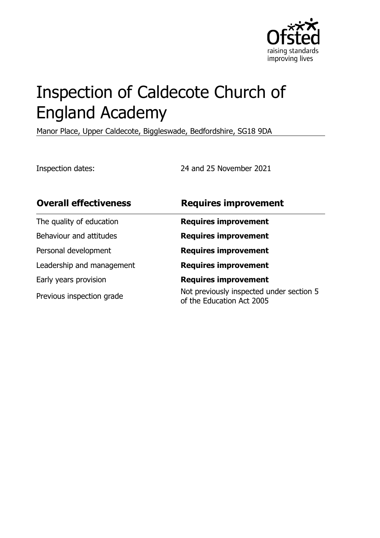

# Inspection of Caldecote Church of England Academy

Manor Place, Upper Caldecote, Biggleswade, Bedfordshire, SG18 9DA

Inspection dates: 24 and 25 November 2021

| <b>Overall effectiveness</b> | <b>Requires improvement</b>                                           |
|------------------------------|-----------------------------------------------------------------------|
| The quality of education     | <b>Requires improvement</b>                                           |
| Behaviour and attitudes      | <b>Requires improvement</b>                                           |
| Personal development         | <b>Requires improvement</b>                                           |
| Leadership and management    | <b>Requires improvement</b>                                           |
| Early years provision        | <b>Requires improvement</b>                                           |
| Previous inspection grade    | Not previously inspected under section 5<br>of the Education Act 2005 |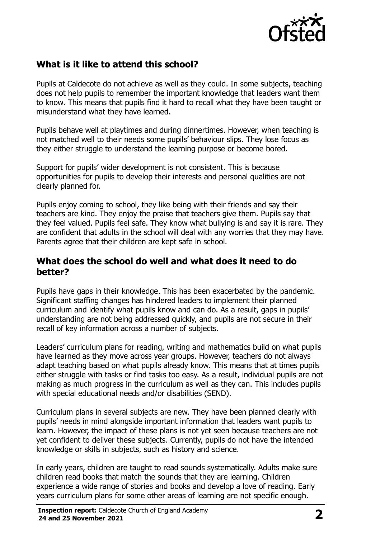

# **What is it like to attend this school?**

Pupils at Caldecote do not achieve as well as they could. In some subjects, teaching does not help pupils to remember the important knowledge that leaders want them to know. This means that pupils find it hard to recall what they have been taught or misunderstand what they have learned.

Pupils behave well at playtimes and during dinnertimes. However, when teaching is not matched well to their needs some pupils' behaviour slips. They lose focus as they either struggle to understand the learning purpose or become bored.

Support for pupils' wider development is not consistent. This is because opportunities for pupils to develop their interests and personal qualities are not clearly planned for.

Pupils enjoy coming to school, they like being with their friends and say their teachers are kind. They enjoy the praise that teachers give them. Pupils say that they feel valued. Pupils feel safe. They know what bullying is and say it is rare. They are confident that adults in the school will deal with any worries that they may have. Parents agree that their children are kept safe in school.

#### **What does the school do well and what does it need to do better?**

Pupils have gaps in their knowledge. This has been exacerbated by the pandemic. Significant staffing changes has hindered leaders to implement their planned curriculum and identify what pupils know and can do. As a result, gaps in pupils' understanding are not being addressed quickly, and pupils are not secure in their recall of key information across a number of subjects.

Leaders' curriculum plans for reading, writing and mathematics build on what pupils have learned as they move across year groups. However, teachers do not always adapt teaching based on what pupils already know. This means that at times pupils either struggle with tasks or find tasks too easy. As a result, individual pupils are not making as much progress in the curriculum as well as they can. This includes pupils with special educational needs and/or disabilities (SEND).

Curriculum plans in several subjects are new. They have been planned clearly with pupils' needs in mind alongside important information that leaders want pupils to learn. However, the impact of these plans is not yet seen because teachers are not yet confident to deliver these subjects. Currently, pupils do not have the intended knowledge or skills in subjects, such as history and science.

In early years, children are taught to read sounds systematically. Adults make sure children read books that match the sounds that they are learning. Children experience a wide range of stories and books and develop a love of reading. Early years curriculum plans for some other areas of learning are not specific enough.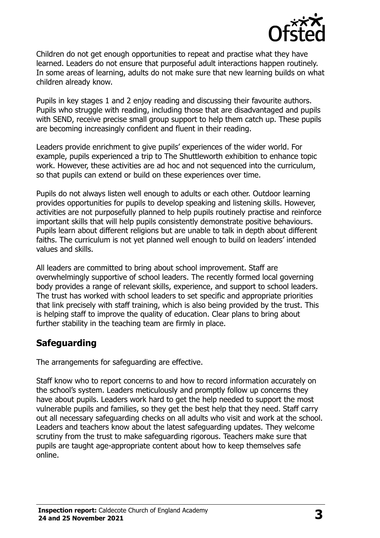

Children do not get enough opportunities to repeat and practise what they have learned. Leaders do not ensure that purposeful adult interactions happen routinely. In some areas of learning, adults do not make sure that new learning builds on what children already know.

Pupils in key stages 1 and 2 enjoy reading and discussing their favourite authors. Pupils who struggle with reading, including those that are disadvantaged and pupils with SEND, receive precise small group support to help them catch up. These pupils are becoming increasingly confident and fluent in their reading.

Leaders provide enrichment to give pupils' experiences of the wider world. For example, pupils experienced a trip to The Shuttleworth exhibition to enhance topic work. However, these activities are ad hoc and not sequenced into the curriculum, so that pupils can extend or build on these experiences over time.

Pupils do not always listen well enough to adults or each other. Outdoor learning provides opportunities for pupils to develop speaking and listening skills. However, activities are not purposefully planned to help pupils routinely practise and reinforce important skills that will help pupils consistently demonstrate positive behaviours. Pupils learn about different religions but are unable to talk in depth about different faiths. The curriculum is not yet planned well enough to build on leaders' intended values and skills.

All leaders are committed to bring about school improvement. Staff are overwhelmingly supportive of school leaders. The recently formed local governing body provides a range of relevant skills, experience, and support to school leaders. The trust has worked with school leaders to set specific and appropriate priorities that link precisely with staff training, which is also being provided by the trust. This is helping staff to improve the quality of education. Clear plans to bring about further stability in the teaching team are firmly in place.

# **Safeguarding**

The arrangements for safeguarding are effective.

Staff know who to report concerns to and how to record information accurately on the school's system. Leaders meticulously and promptly follow up concerns they have about pupils. Leaders work hard to get the help needed to support the most vulnerable pupils and families, so they get the best help that they need. Staff carry out all necessary safeguarding checks on all adults who visit and work at the school. Leaders and teachers know about the latest safeguarding updates. They welcome scrutiny from the trust to make safeguarding rigorous. Teachers make sure that pupils are taught age-appropriate content about how to keep themselves safe online.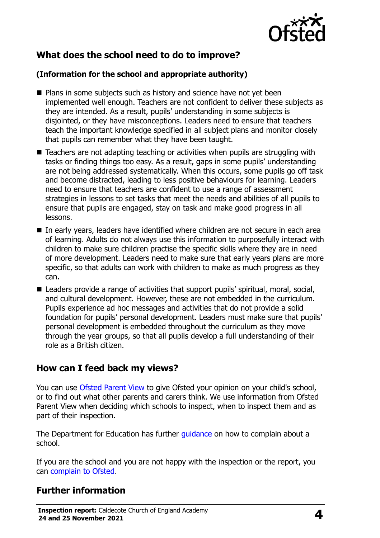

# **What does the school need to do to improve?**

#### **(Information for the school and appropriate authority)**

- **Plans in some subjects such as history and science have not yet been** implemented well enough. Teachers are not confident to deliver these subjects as they are intended. As a result, pupils' understanding in some subjects is disjointed, or they have misconceptions. Leaders need to ensure that teachers teach the important knowledge specified in all subject plans and monitor closely that pupils can remember what they have been taught.
- Teachers are not adapting teaching or activities when pupils are struggling with tasks or finding things too easy. As a result, gaps in some pupils' understanding are not being addressed systematically. When this occurs, some pupils go off task and become distracted, leading to less positive behaviours for learning. Leaders need to ensure that teachers are confident to use a range of assessment strategies in lessons to set tasks that meet the needs and abilities of all pupils to ensure that pupils are engaged, stay on task and make good progress in all lessons.
- In early years, leaders have identified where children are not secure in each area of learning. Adults do not always use this information to purposefully interact with children to make sure children practise the specific skills where they are in need of more development. Leaders need to make sure that early years plans are more specific, so that adults can work with children to make as much progress as they can.
- Leaders provide a range of activities that support pupils' spiritual, moral, social, and cultural development. However, these are not embedded in the curriculum. Pupils experience ad hoc messages and activities that do not provide a solid foundation for pupils' personal development. Leaders must make sure that pupils' personal development is embedded throughout the curriculum as they move through the year groups, so that all pupils develop a full understanding of their role as a British citizen.

### **How can I feed back my views?**

You can use [Ofsted Parent View](http://parentview.ofsted.gov.uk/) to give Ofsted your opinion on your child's school, or to find out what other parents and carers think. We use information from Ofsted Parent View when deciding which schools to inspect, when to inspect them and as part of their inspection.

The Department for Education has further *guidance* on how to complain about a school.

If you are the school and you are not happy with the inspection or the report, you can [complain to Ofsted.](http://www.gov.uk/complain-ofsted-report)

### **Further information**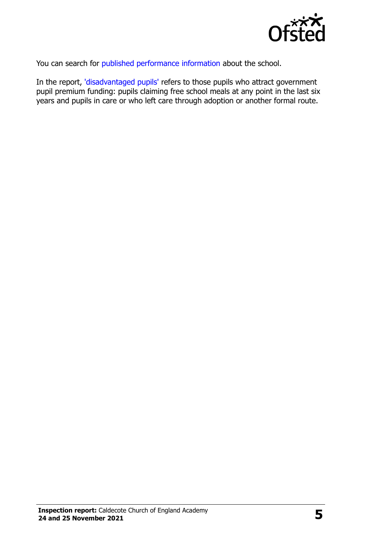

You can search for [published performance information](http://www.compare-school-performance.service.gov.uk/) about the school.

In the report, ['disadvantaged pupils'](http://www.gov.uk/guidance/pupil-premium-information-for-schools-and-alternative-provision-settings) refers to those pupils who attract government pupil premium funding: pupils claiming free school meals at any point in the last six years and pupils in care or who left care through adoption or another formal route.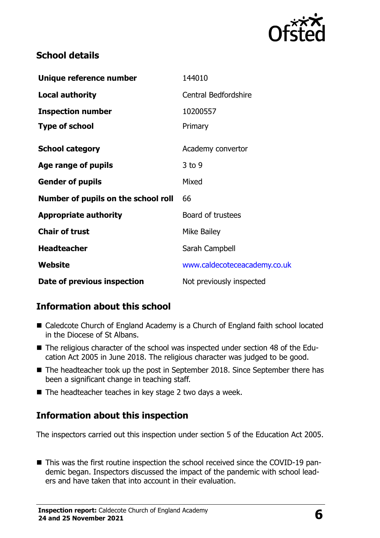

## **School details**

| Unique reference number             | 144010                       |
|-------------------------------------|------------------------------|
| <b>Local authority</b>              | <b>Central Bedfordshire</b>  |
| <b>Inspection number</b>            | 10200557                     |
| <b>Type of school</b>               | Primary                      |
| <b>School category</b>              | Academy convertor            |
| Age range of pupils                 | $3$ to 9                     |
| <b>Gender of pupils</b>             | Mixed                        |
| Number of pupils on the school roll | 66                           |
| <b>Appropriate authority</b>        | Board of trustees            |
| <b>Chair of trust</b>               | <b>Mike Bailey</b>           |
| <b>Headteacher</b>                  | Sarah Campbell               |
| Website                             | www.caldecoteceacademy.co.uk |
| Date of previous inspection         | Not previously inspected     |

# **Information about this school**

- Caledcote Church of England Academy is a Church of England faith school located in the Diocese of St Albans.
- The religious character of the school was inspected under section 48 of the Education Act 2005 in June 2018. The religious character was judged to be good.
- The headteacher took up the post in September 2018. Since September there has been a significant change in teaching staff.
- The headteacher teaches in key stage 2 two days a week.

# **Information about this inspection**

The inspectors carried out this inspection under section 5 of the Education Act 2005.

■ This was the first routine inspection the school received since the COVID-19 pandemic began. Inspectors discussed the impact of the pandemic with school leaders and have taken that into account in their evaluation.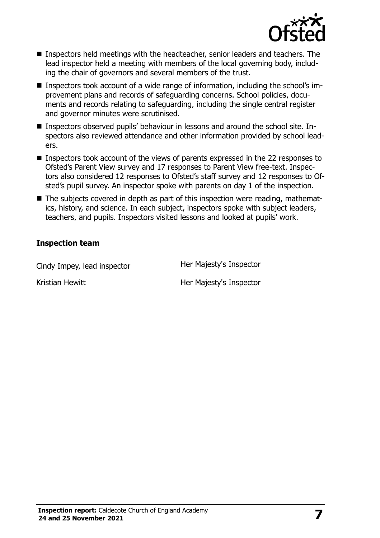

- **Inspectors held meetings with the headteacher, senior leaders and teachers. The** lead inspector held a meeting with members of the local governing body, including the chair of governors and several members of the trust.
- Inspectors took account of a wide range of information, including the school's improvement plans and records of safeguarding concerns. School policies, documents and records relating to safeguarding, including the single central register and governor minutes were scrutinised.
- Inspectors observed pupils' behaviour in lessons and around the school site. Inspectors also reviewed attendance and other information provided by school leaders.
- Inspectors took account of the views of parents expressed in the 22 responses to Ofsted's Parent View survey and 17 responses to Parent View free-text. Inspectors also considered 12 responses to Ofsted's staff survey and 12 responses to Ofsted's pupil survey. An inspector spoke with parents on day 1 of the inspection.
- The subjects covered in depth as part of this inspection were reading, mathematics, history, and science. In each subject, inspectors spoke with subject leaders, teachers, and pupils. Inspectors visited lessons and looked at pupils' work.

#### **Inspection team**

Cindy Impey, lead inspector **Her Majesty's Inspector** 

Kristian Hewitt **Her Majesty's Inspector**